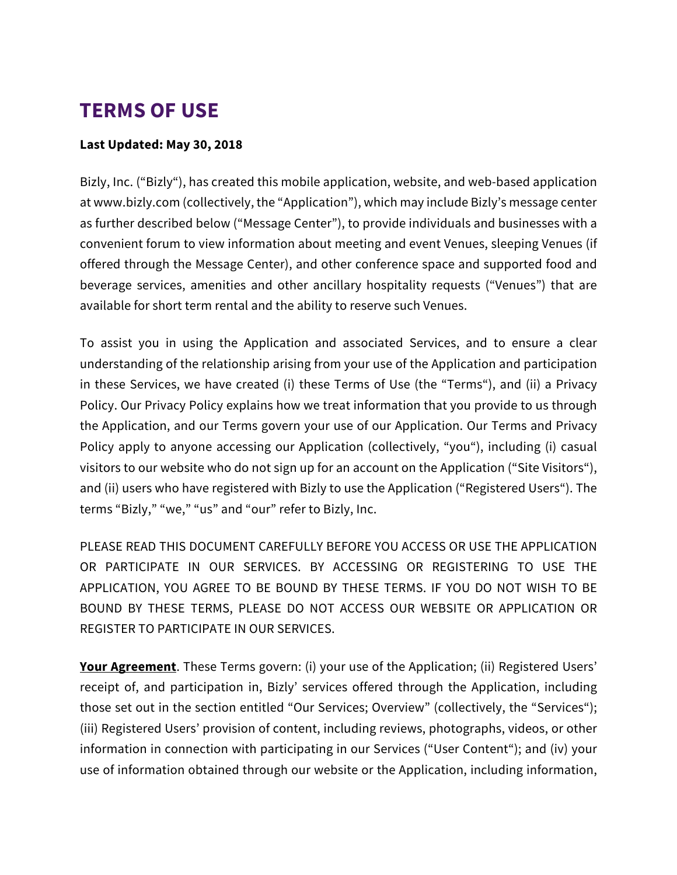## **TERMS OF USE**

## **Last Updated: May 30, 2018**

Bizly, Inc. ("Bizly"), has created this mobile application, website, and web-based application at www.bizly.com (collectively, the "Application"), which may include Bizly's message center as further described below ("Message Center"), to provide individuals and businesses with a convenient forum to view information about meeting and event Venues, sleeping Venues (if offered through the Message Center), and other conference space and supported food and beverage services, amenities and other ancillary hospitality requests ("Venues") that are available for short term rental and the ability to reserve such Venues.

To assist you in using the Application and associated Services, and to ensure a clear understanding of the relationship arising from your use of the Application and participation in these Services, we have created (i) these Terms of Use (the "Terms"), and (ii) a Privacy Policy. Our Privacy Policy explains how we treat information that you provide to us through the Application, and our Terms govern your use of our Application. Our Terms and Privacy Policy apply to anyone accessing our Application (collectively, "you"), including (i) casual visitors to our website who do not sign up for an account on the Application ("Site Visitors"), and (ii) users who have registered with Bizly to use the Application ("Registered Users"). The terms "Bizly," "we," "us" and "our" refer to Bizly, Inc.

PLEASE READ THIS DOCUMENT CAREFULLY BEFORE YOU ACCESS OR USE THE APPLICATION OR PARTICIPATE IN OUR SERVICES. BY ACCESSING OR REGISTERING TO USE THE APPLICATION, YOU AGREE TO BE BOUND BY THESE TERMS. IF YOU DO NOT WISH TO BE BOUND BY THESE TERMS, PLEASE DO NOT ACCESS OUR WEBSITE OR APPLICATION OR REGISTER TO PARTICIPATE IN OUR SERVICES.

Your Agreement. These Terms govern: (i) your use of the Application; (ii) Registered Users' receipt of, and participation in, Bizly' services offered through the Application, including those set out in the section entitled "Our Services; Overview" (collectively, the "Services"); (iii) Registered Users' provision of content, including reviews, photographs, videos, or other information in connection with participating in our Services ("User Content"); and (iv) your use of information obtained through our website or the Application, including information,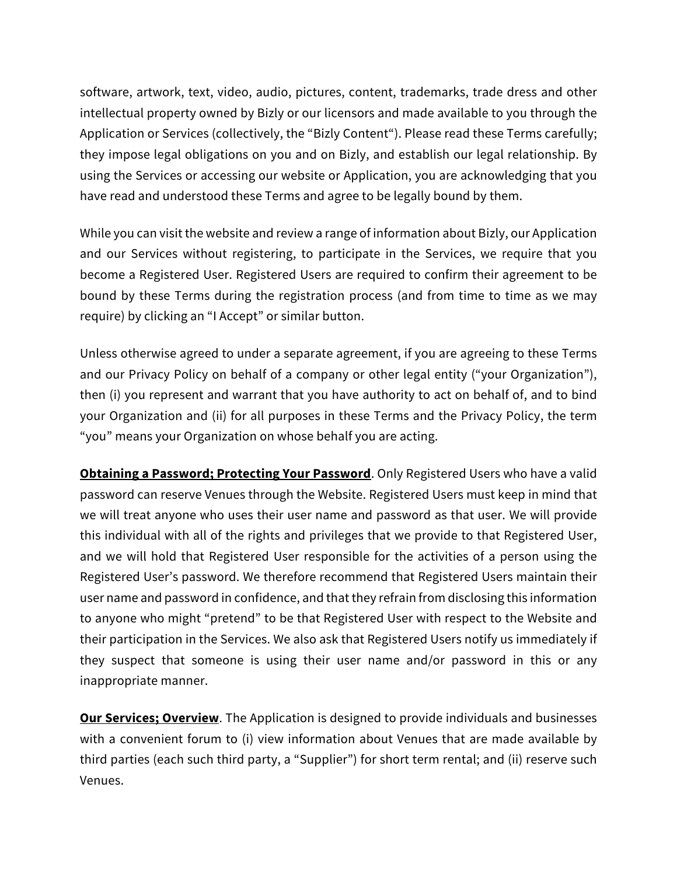software, artwork, text, video, audio, pictures, content, trademarks, trade dress and other intellectual property owned by Bizly or our licensors and made available to you through the Application or Services (collectively, the "Bizly Content"). Please read these Terms carefully; they impose legal obligations on you and on Bizly, and establish our legal relationship. By using the Services or accessing our website or Application, you are acknowledging that you have read and understood these Terms and agree to be legally bound by them.

While you can visit the website and review a range of information about Bizly, our Application and our Services without registering, to participate in the Services, we require that you become a Registered User. Registered Users are required to confirm their agreement to be bound by these Terms during the registration process (and from time to time as we may require) by clicking an "I Accept" or similar button.

Unless otherwise agreed to under a separate agreement, if you are agreeing to these Terms and our Privacy Policy on behalf of a company or other legal entity ("your Organization"), then (i) you represent and warrant that you have authority to act on behalf of, and to bind your Organization and (ii) for all purposes in these Terms and the Privacy Policy, the term "you" means your Organization on whose behalf you are acting.

**Obtaining a Password; Protecting Your Password**. Only Registered Users who have a valid password can reserve Venues through the Website. Registered Users must keep in mind that we will treat anyone who uses their user name and password as that user. We will provide this individual with all of the rights and privileges that we provide to that Registered User, and we will hold that Registered User responsible for the activities of a person using the Registered User's password. We therefore recommend that Registered Users maintain their user name and password in confidence, and that they refrain from disclosing this information to anyone who might "pretend" to be that Registered User with respect to the Website and their participation in the Services. We also ask that Registered Users notify us immediately if they suspect that someone is using their user name and/or password in this or any inappropriate manner.

**Our Services; Overview**. The Application is designed to provide individuals and businesses with a convenient forum to (i) view information about Venues that are made available by third parties (each such third party, a "Supplier") for short term rental; and (ii) reserve such Venues.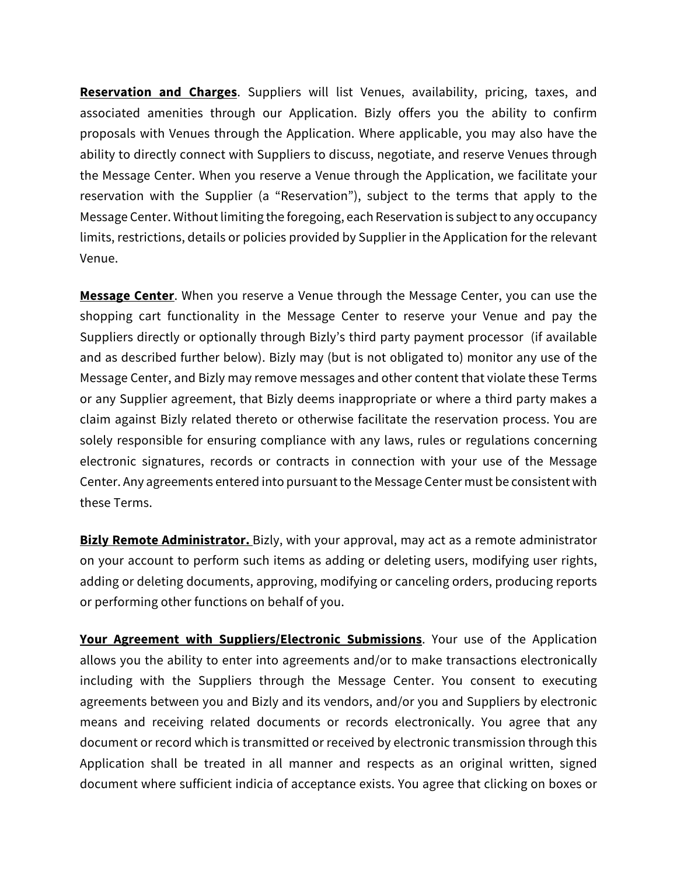**Reservation and Charges**. Suppliers will list Venues, availability, pricing, taxes, and associated amenities through our Application. Bizly offers you the ability to confirm proposals with Venues through the Application. Where applicable, you may also have the ability to directly connect with Suppliers to discuss, negotiate, and reserve Venues through the Message Center. When you reserve a Venue through the Application, we facilitate your reservation with the Supplier (a "Reservation"), subject to the terms that apply to the Message Center. Without limiting the foregoing, each Reservation is subject to any occupancy limits, restrictions, details or policies provided by Supplier in the Application for the relevant Venue.

**Message Center**. When you reserve a Venue through the Message Center, you can use the shopping cart functionality in the Message Center to reserve your Venue and pay the Suppliers directly or optionally through Bizly's third party payment processor (if available and as described further below). Bizly may (but is not obligated to) monitor any use of the Message Center, and Bizly may remove messages and other content that violate these Terms or any Supplier agreement, that Bizly deems inappropriate or where a third party makes a claim against Bizly related thereto or otherwise facilitate the reservation process. You are solely responsible for ensuring compliance with any laws, rules or regulations concerning electronic signatures, records or contracts in connection with your use of the Message Center. Any agreements entered into pursuant to the Message Center must be consistent with these Terms.

**Bizly Remote Administrator.** Bizly, with your approval, may act as a remote administrator on your account to perform such items as adding or deleting users, modifying user rights, adding or deleting documents, approving, modifying or canceling orders, producing reports or performing other functions on behalf of you.

**Your Agreement with Suppliers/Electronic Submissions**. Your use of the Application allows you the ability to enter into agreements and/or to make transactions electronically including with the Suppliers through the Message Center. You consent to executing agreements between you and Bizly and its vendors, and/or you and Suppliers by electronic means and receiving related documents or records electronically. You agree that any document or record which is transmitted or received by electronic transmission through this Application shall be treated in all manner and respects as an original written, signed document where sufficient indicia of acceptance exists. You agree that clicking on boxes or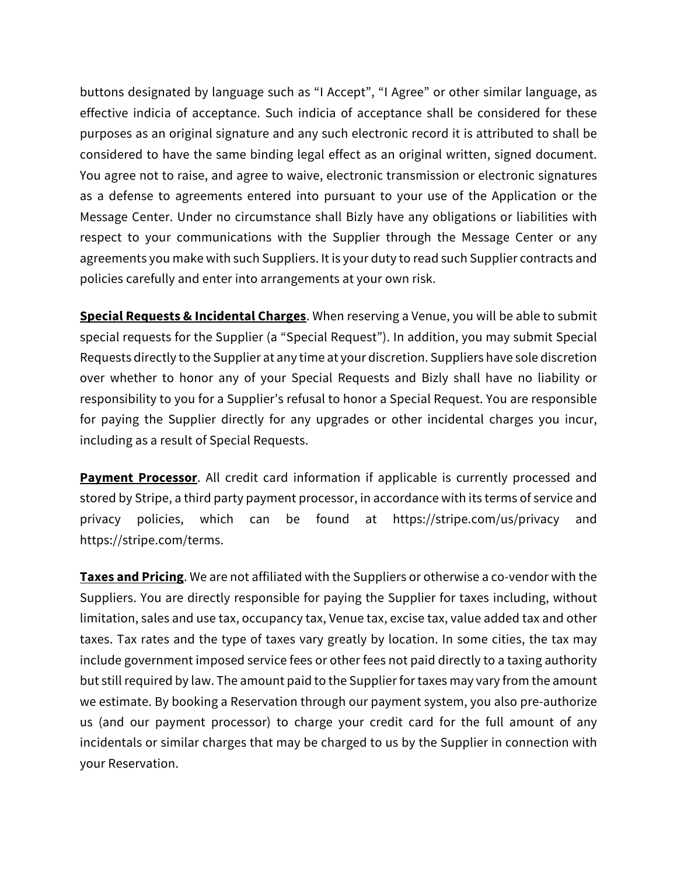buttons designated by language such as "I Accept", "I Agree" or other similar language, as effective indicia of acceptance. Such indicia of acceptance shall be considered for these purposes as an original signature and any such electronic record it is attributed to shall be considered to have the same binding legal effect as an original written, signed document. You agree not to raise, and agree to waive, electronic transmission or electronic signatures as a defense to agreements entered into pursuant to your use of the Application or the Message Center. Under no circumstance shall Bizly have any obligations or liabilities with respect to your communications with the Supplier through the Message Center or any agreements you make with such Suppliers. It is your duty to read such Supplier contracts and policies carefully and enter into arrangements at your own risk.

**Special Requests & Incidental Charges**. When reserving a Venue, you will be able to submit special requests for the Supplier (a "Special Request"). In addition, you may submit Special Requests directly to the Supplier at any time at your discretion. Suppliers have sole discretion over whether to honor any of your Special Requests and Bizly shall have no liability or responsibility to you for a Supplier's refusal to honor a Special Request. You are responsible for paying the Supplier directly for any upgrades or other incidental charges you incur, including as a result of Special Requests.

**Payment Processor**. All credit card information if applicable is currently processed and stored by Stripe, a third party payment processor, in accordance with its terms of service and privacy policies, which can be found at https://stripe.com/us/privacy and https://stripe.com/terms.

**Taxes and Pricing**. We are not affiliated with the Suppliers or otherwise a co-vendor with the Suppliers. You are directly responsible for paying the Supplier for taxes including, without limitation, sales and use tax, occupancy tax, Venue tax, excise tax, value added tax and other taxes. Tax rates and the type of taxes vary greatly by location. In some cities, the tax may include government imposed service fees or other fees not paid directly to a taxing authority but still required by law. The amount paid to the Supplier for taxes may vary from the amount we estimate. By booking a Reservation through our payment system, you also pre-authorize us (and our payment processor) to charge your credit card for the full amount of any incidentals or similar charges that may be charged to us by the Supplier in connection with your Reservation.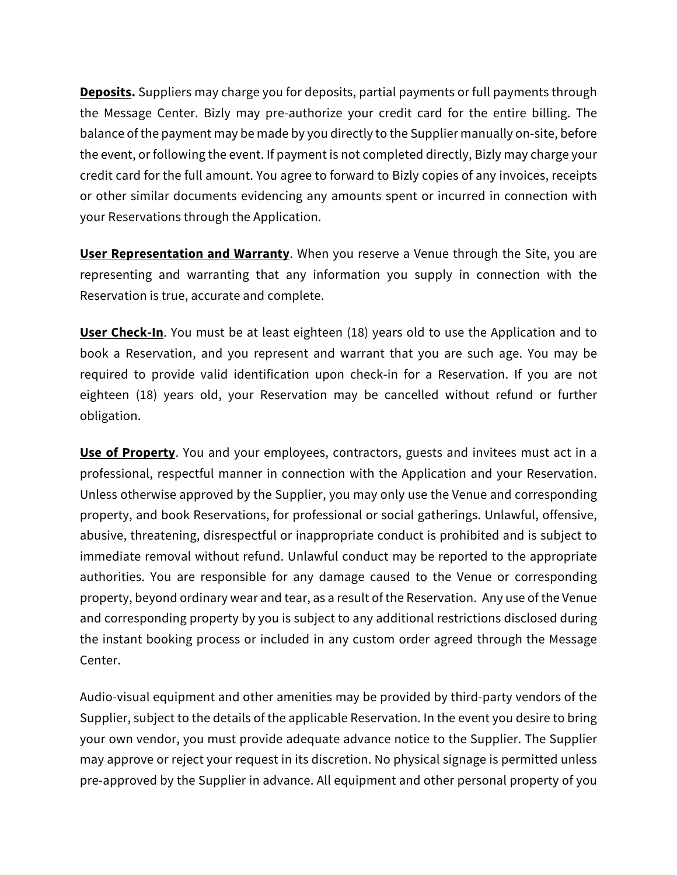**Deposits.** Suppliers may charge you for deposits, partial payments or full payments through the Message Center. Bizly may pre-authorize your credit card for the entire billing. The balance of the payment may be made by you directly to the Supplier manually on-site, before the event, or following the event. If payment is not completed directly, Bizly may charge your credit card for the full amount. You agree to forward to Bizly copies of any invoices, receipts or other similar documents evidencing any amounts spent or incurred in connection with your Reservations through the Application.

**User Representation and Warranty**. When you reserve a Venue through the Site, you are representing and warranting that any information you supply in connection with the Reservation is true, accurate and complete.

**User Check-In**. You must be at least eighteen (18) years old to use the Application and to book a Reservation, and you represent and warrant that you are such age. You may be required to provide valid identification upon check-in for a Reservation. If you are not eighteen (18) years old, your Reservation may be cancelled without refund or further obligation.

**Use of Property**. You and your employees, contractors, guests and invitees must act in a professional, respectful manner in connection with the Application and your Reservation. Unless otherwise approved by the Supplier, you may only use the Venue and corresponding property, and book Reservations, for professional or social gatherings. Unlawful, offensive, abusive, threatening, disrespectful or inappropriate conduct is prohibited and is subject to immediate removal without refund. Unlawful conduct may be reported to the appropriate authorities. You are responsible for any damage caused to the Venue or corresponding property, beyond ordinary wear and tear, as a result of the Reservation. Any use of the Venue and corresponding property by you is subject to any additional restrictions disclosed during the instant booking process or included in any custom order agreed through the Message Center.

Audio-visual equipment and other amenities may be provided by third-party vendors of the Supplier, subject to the details of the applicable Reservation. In the event you desire to bring your own vendor, you must provide adequate advance notice to the Supplier. The Supplier may approve or reject your request in its discretion. No physical signage is permitted unless pre-approved by the Supplier in advance. All equipment and other personal property of you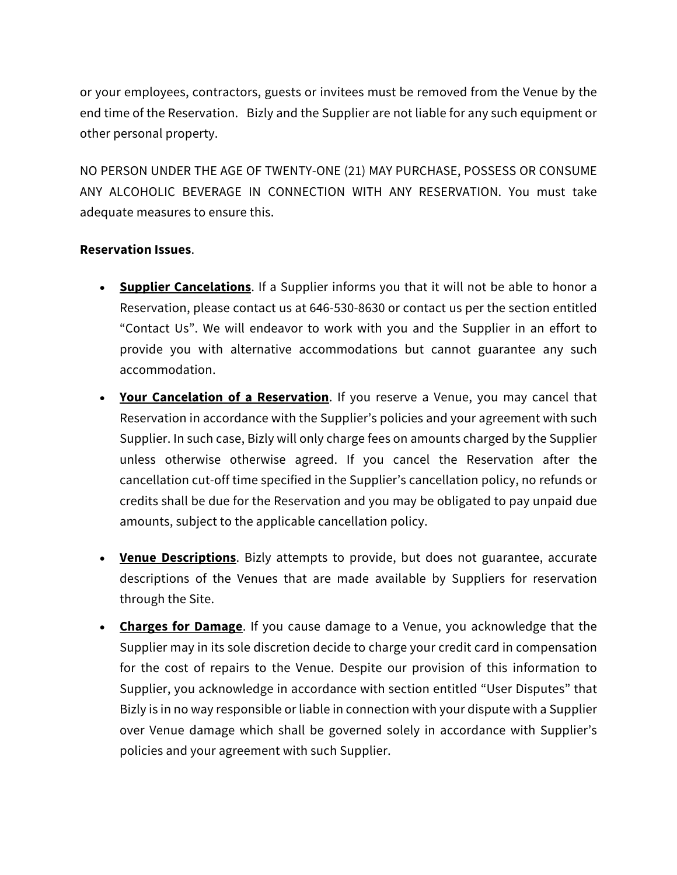or your employees, contractors, guests or invitees must be removed from the Venue by the end time of the Reservation. Bizly and the Supplier are not liable for any such equipment or other personal property.

NO PERSON UNDER THE AGE OF TWENTY-ONE (21) MAY PURCHASE, POSSESS OR CONSUME ANY ALCOHOLIC BEVERAGE IN CONNECTION WITH ANY RESERVATION. You must take adequate measures to ensure this.

## **Reservation Issues**.

- **Supplier Cancelations**. If a Supplier informs you that it will not be able to honor a Reservation, please contact us at 646-530-8630 or contact us per the section entitled "Contact Us". We will endeavor to work with you and the Supplier in an effort to provide you with alternative accommodations but cannot guarantee any such accommodation.
- **Your Cancelation of a Reservation**. If you reserve a Venue, you may cancel that Reservation in accordance with the Supplier's policies and your agreement with such Supplier. In such case, Bizly will only charge fees on amounts charged by the Supplier unless otherwise otherwise agreed. If you cancel the Reservation after the cancellation cut-off time specified in the Supplier's cancellation policy, no refunds or credits shall be due for the Reservation and you may be obligated to pay unpaid due amounts, subject to the applicable cancellation policy.
- **Venue Descriptions**. Bizly attempts to provide, but does not guarantee, accurate descriptions of the Venues that are made available by Suppliers for reservation through the Site.
- **Charges for Damage**. If you cause damage to a Venue, you acknowledge that the Supplier may in its sole discretion decide to charge your credit card in compensation for the cost of repairs to the Venue. Despite our provision of this information to Supplier, you acknowledge in accordance with section entitled "User Disputes" that Bizly is in no way responsible or liable in connection with your dispute with a Supplier over Venue damage which shall be governed solely in accordance with Supplier's policies and your agreement with such Supplier.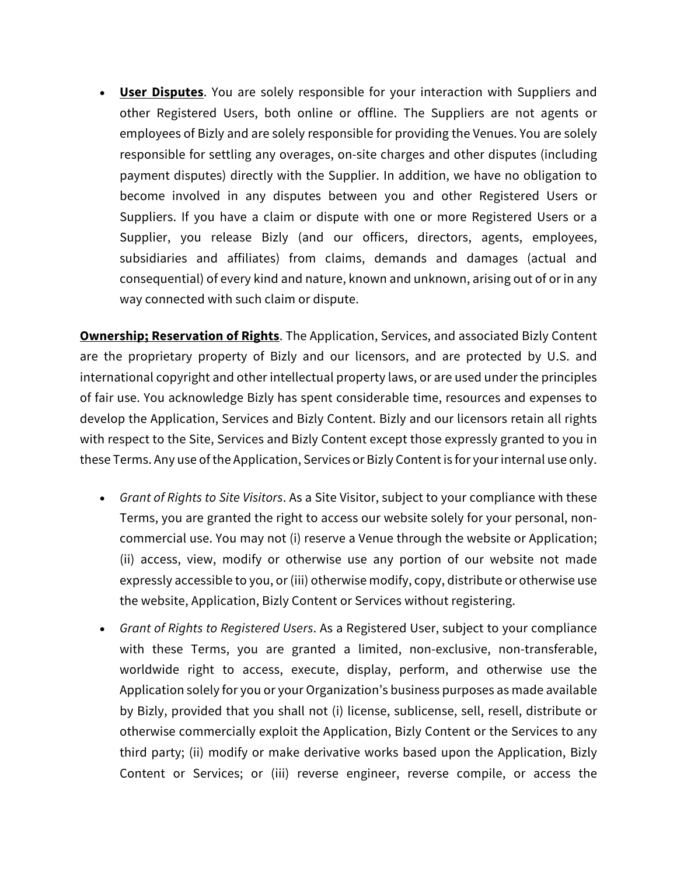• **User Disputes**. You are solely responsible for your interaction with Suppliers and other Registered Users, both online or offline. The Suppliers are not agents or employees of Bizly and are solely responsible for providing the Venues. You are solely responsible for settling any overages, on-site charges and other disputes (including payment disputes) directly with the Supplier. In addition, we have no obligation to become involved in any disputes between you and other Registered Users or Suppliers. If you have a claim or dispute with one or more Registered Users or a Supplier, you release Bizly (and our officers, directors, agents, employees, subsidiaries and affiliates) from claims, demands and damages (actual and consequential) of every kind and nature, known and unknown, arising out of or in any way connected with such claim or dispute.

**Ownership; Reservation of Rights**. The Application, Services, and associated Bizly Content are the proprietary property of Bizly and our licensors, and are protected by U.S. and international copyright and other intellectual property laws, or are used under the principles of fair use. You acknowledge Bizly has spent considerable time, resources and expenses to develop the Application, Services and Bizly Content. Bizly and our licensors retain all rights with respect to the Site, Services and Bizly Content except those expressly granted to you in these Terms. Any use of the Application, Services or Bizly Content is for your internal use only.

- *Grant of Rights to Site Visitors*. As a Site Visitor, subject to your compliance with these Terms, you are granted the right to access our website solely for your personal, noncommercial use. You may not (i) reserve a Venue through the website or Application; (ii) access, view, modify or otherwise use any portion of our website not made expressly accessible to you, or (iii) otherwise modify, copy, distribute or otherwise use the website, Application, Bizly Content or Services without registering.
- *Grant of Rights to Registered Users*. As a Registered User, subject to your compliance with these Terms, you are granted a limited, non-exclusive, non-transferable, worldwide right to access, execute, display, perform, and otherwise use the Application solely for you or your Organization's business purposes as made available by Bizly, provided that you shall not (i) license, sublicense, sell, resell, distribute or otherwise commercially exploit the Application, Bizly Content or the Services to any third party; (ii) modify or make derivative works based upon the Application, Bizly Content or Services; or (iii) reverse engineer, reverse compile, or access the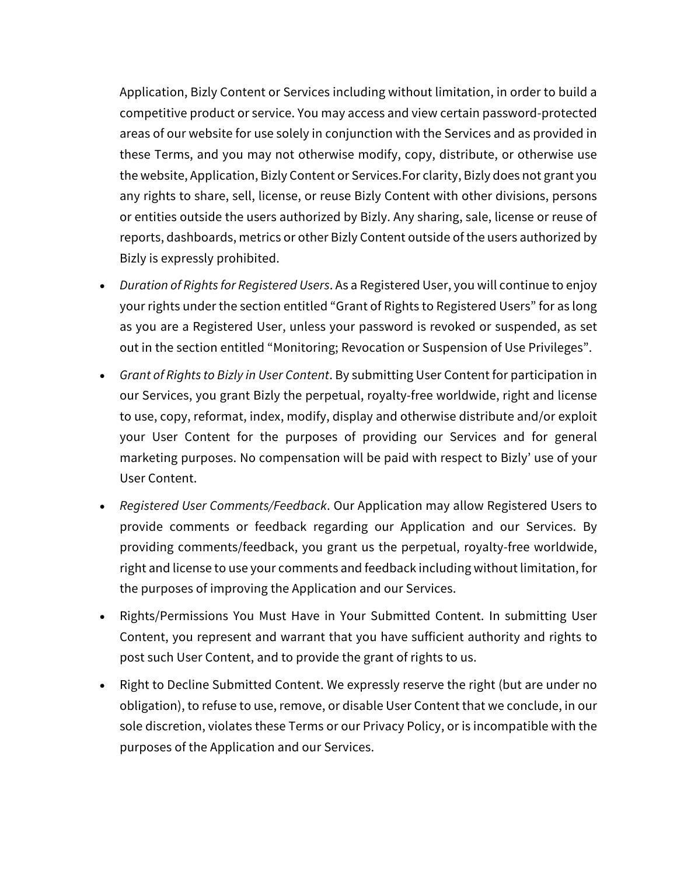Application, Bizly Content or Services including without limitation, in order to build a competitive product or service. You may access and view certain password-protected areas of our website for use solely in conjunction with the Services and as provided in these Terms, and you may not otherwise modify, copy, distribute, or otherwise use the website, Application, Bizly Content or Services.For clarity, Bizly does not grant you any rights to share, sell, license, or reuse Bizly Content with other divisions, persons or entities outside the users authorized by Bizly. Any sharing, sale, license or reuse of reports, dashboards, metrics or other Bizly Content outside of the users authorized by Bizly is expressly prohibited.

- *Duration of Rights for Registered Users*. As a Registered User, you will continue to enjoy your rights under the section entitled "Grant of Rights to Registered Users" for as long as you are a Registered User, unless your password is revoked or suspended, as set out in the section entitled "Monitoring; Revocation or Suspension of Use Privileges".
- *Grant of Rights to Bizly in User Content*. By submitting User Content for participation in our Services, you grant Bizly the perpetual, royalty-free worldwide, right and license to use, copy, reformat, index, modify, display and otherwise distribute and/or exploit your User Content for the purposes of providing our Services and for general marketing purposes. No compensation will be paid with respect to Bizly' use of your User Content.
- *Registered User Comments/Feedback*. Our Application may allow Registered Users to provide comments or feedback regarding our Application and our Services. By providing comments/feedback, you grant us the perpetual, royalty-free worldwide, right and license to use your comments and feedback including without limitation, for the purposes of improving the Application and our Services.
- Rights/Permissions You Must Have in Your Submitted Content. In submitting User Content, you represent and warrant that you have sufficient authority and rights to post such User Content, and to provide the grant of rights to us.
- Right to Decline Submitted Content. We expressly reserve the right (but are under no obligation), to refuse to use, remove, or disable User Content that we conclude, in our sole discretion, violates these Terms or our Privacy Policy, or is incompatible with the purposes of the Application and our Services.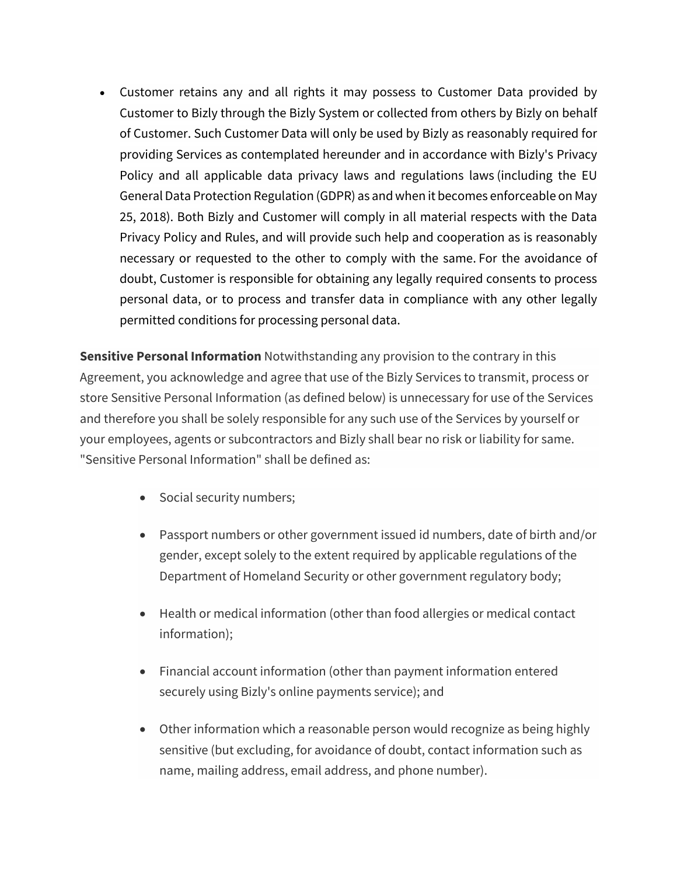• Customer retains any and all rights it may possess to Customer Data provided by Customer to Bizly through the Bizly System or collected from others by Bizly on behalf of Customer. Such Customer Data will only be used by Bizly as reasonably required for providing Services as contemplated hereunder and in accordance with Bizly's Privacy Policy and all applicable data privacy laws and regulations laws (including the EU General Data Protection Regulation (GDPR) as and when it becomes enforceable on May 25, 2018). Both Bizly and Customer will comply in all material respects with the Data Privacy Policy and Rules, and will provide such help and cooperation as is reasonably necessary or requested to the other to comply with the same. For the avoidance of doubt, Customer is responsible for obtaining any legally required consents to process personal data, or to process and transfer data in compliance with any other legally permitted conditions for processing personal data.

**Sensitive Personal Information** Notwithstanding any provision to the contrary in this Agreement, you acknowledge and agree that use of the Bizly Services to transmit, process or store Sensitive Personal Information (as defined below) is unnecessary for use of the Services and therefore you shall be solely responsible for any such use of the Services by yourself or your employees, agents or subcontractors and Bizly shall bear no risk or liability for same. "Sensitive Personal Information" shall be defined as:

- Social security numbers;
- Passport numbers or other government issued id numbers, date of birth and/or gender, except solely to the extent required by applicable regulations of the Department of Homeland Security or other government regulatory body;
- Health or medical information (other than food allergies or medical contact information);
- Financial account information (other than payment information entered securely using Bizly's online payments service); and
- Other information which a reasonable person would recognize as being highly sensitive (but excluding, for avoidance of doubt, contact information such as name, mailing address, email address, and phone number).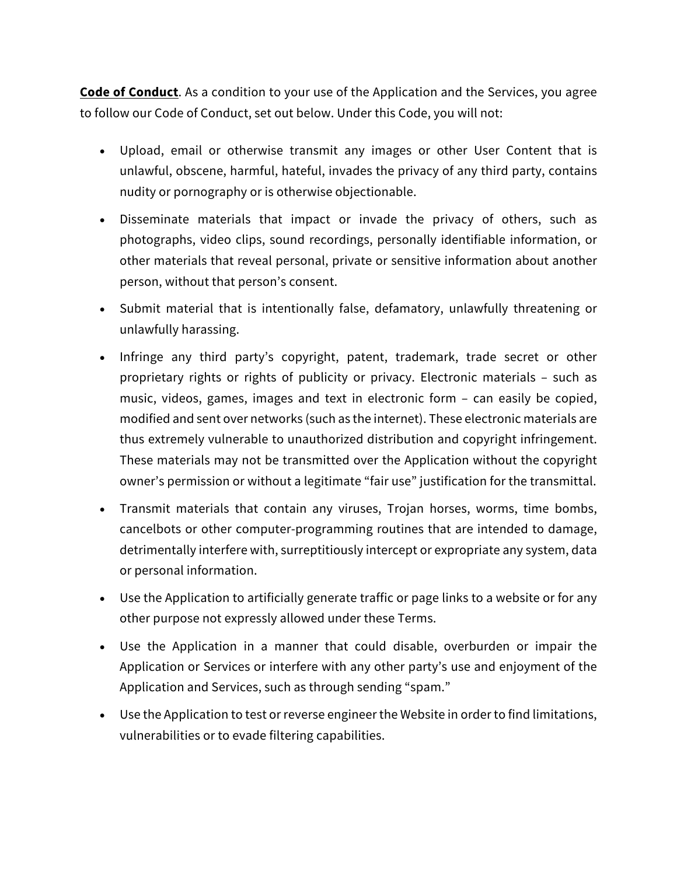**Code of Conduct**. As a condition to your use of the Application and the Services, you agree to follow our Code of Conduct, set out below. Under this Code, you will not:

- Upload, email or otherwise transmit any images or other User Content that is unlawful, obscene, harmful, hateful, invades the privacy of any third party, contains nudity or pornography or is otherwise objectionable.
- Disseminate materials that impact or invade the privacy of others, such as photographs, video clips, sound recordings, personally identifiable information, or other materials that reveal personal, private or sensitive information about another person, without that person's consent.
- Submit material that is intentionally false, defamatory, unlawfully threatening or unlawfully harassing.
- Infringe any third party's copyright, patent, trademark, trade secret or other proprietary rights or rights of publicity or privacy. Electronic materials – such as music, videos, games, images and text in electronic form – can easily be copied, modified and sent over networks (such as the internet). These electronic materials are thus extremely vulnerable to unauthorized distribution and copyright infringement. These materials may not be transmitted over the Application without the copyright owner's permission or without a legitimate "fair use" justification for the transmittal.
- Transmit materials that contain any viruses, Trojan horses, worms, time bombs, cancelbots or other computer-programming routines that are intended to damage, detrimentally interfere with, surreptitiously intercept or expropriate any system, data or personal information.
- Use the Application to artificially generate traffic or page links to a website or for any other purpose not expressly allowed under these Terms.
- Use the Application in a manner that could disable, overburden or impair the Application or Services or interfere with any other party's use and enjoyment of the Application and Services, such as through sending "spam."
- Use the Application to test or reverse engineer the Website in order to find limitations, vulnerabilities or to evade filtering capabilities.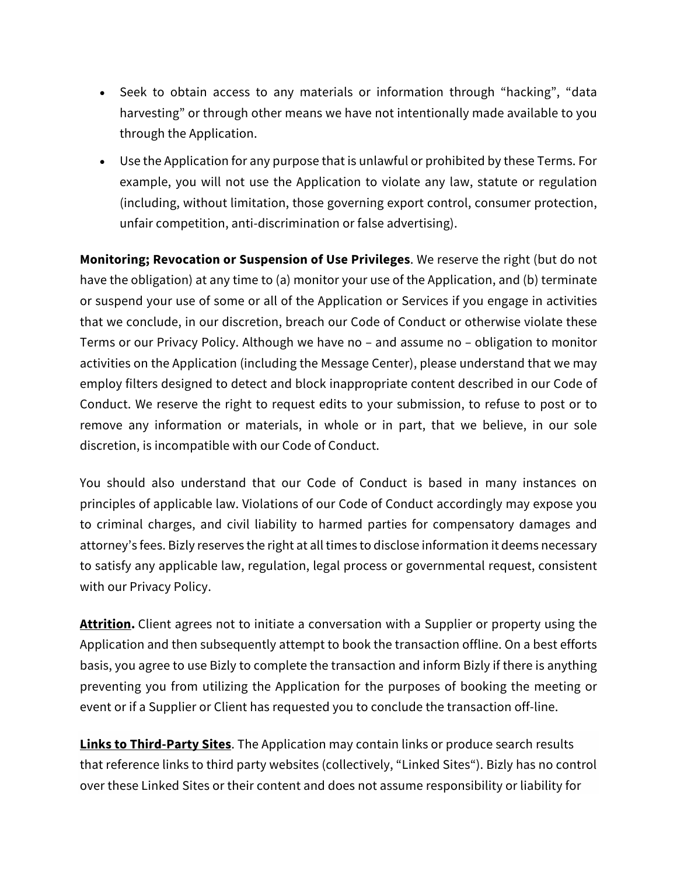- Seek to obtain access to any materials or information through "hacking", "data harvesting" or through other means we have not intentionally made available to you through the Application.
- Use the Application for any purpose that is unlawful or prohibited by these Terms. For example, you will not use the Application to violate any law, statute or regulation (including, without limitation, those governing export control, consumer protection, unfair competition, anti-discrimination or false advertising).

**Monitoring; Revocation or Suspension of Use Privileges**. We reserve the right (but do not have the obligation) at any time to (a) monitor your use of the Application, and (b) terminate or suspend your use of some or all of the Application or Services if you engage in activities that we conclude, in our discretion, breach our Code of Conduct or otherwise violate these Terms or our Privacy Policy. Although we have no – and assume no – obligation to monitor activities on the Application (including the Message Center), please understand that we may employ filters designed to detect and block inappropriate content described in our Code of Conduct. We reserve the right to request edits to your submission, to refuse to post or to remove any information or materials, in whole or in part, that we believe, in our sole discretion, is incompatible with our Code of Conduct.

You should also understand that our Code of Conduct is based in many instances on principles of applicable law. Violations of our Code of Conduct accordingly may expose you to criminal charges, and civil liability to harmed parties for compensatory damages and attorney's fees. Bizly reserves the right at all times to disclose information it deems necessary to satisfy any applicable law, regulation, legal process or governmental request, consistent with our Privacy Policy.

**Attrition.** Client agrees not to initiate a conversation with a Supplier or property using the Application and then subsequently attempt to book the transaction offline. On a best efforts basis, you agree to use Bizly to complete the transaction and inform Bizly if there is anything preventing you from utilizing the Application for the purposes of booking the meeting or event or if a Supplier or Client has requested you to conclude the transaction off-line.

**Links to Third-Party Sites**. The Application may contain links or produce search results that reference links to third party websites (collectively, "Linked Sites"). Bizly has no control over these Linked Sites or their content and does not assume responsibility or liability for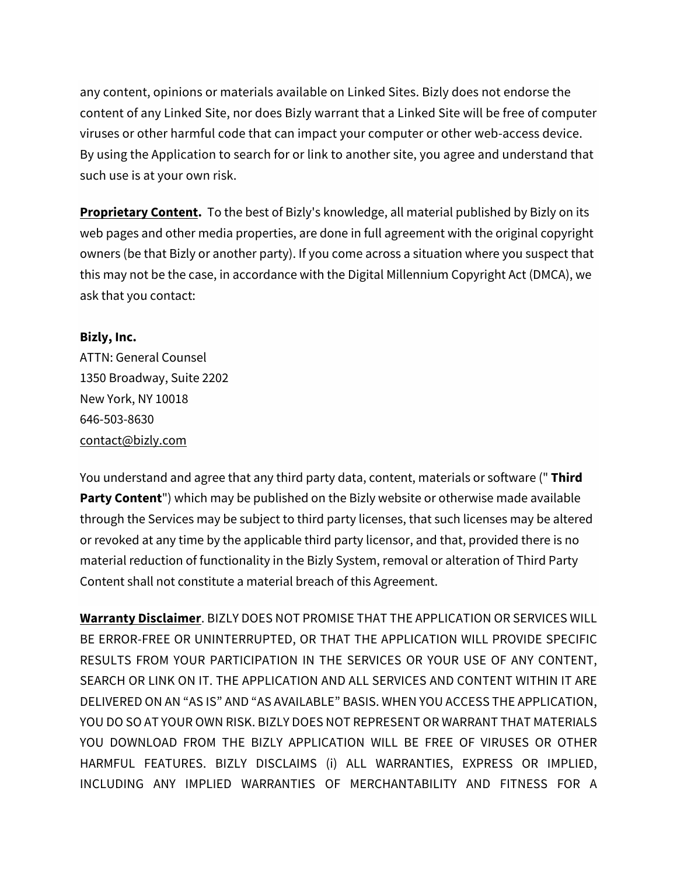any content, opinions or materials available on Linked Sites. Bizly does not endorse the content of any Linked Site, nor does Bizly warrant that a Linked Site will be free of computer viruses or other harmful code that can impact your computer or other web-access device. By using the Application to search for or link to another site, you agree and understand that such use is at your own risk.

**Proprietary Content.** To the best of Bizly's knowledge, all material published by Bizly on its web pages and other media properties, are done in full agreement with the original copyright owners (be that Bizly or another party). If you come across a situation where you suspect that this may not be the case, in accordance with the Digital Millennium Copyright Act (DMCA), we ask that you contact:

## **Bizly, Inc.**

ATTN: General Counsel 1350 Broadway, Suite 2202 New York, NY 10018 646-503-8630 contact@bizly.com

You understand and agree that any third party data, content, materials or software (" **Third Party Content**") which may be published on the Bizly website or otherwise made available through the Services may be subject to third party licenses, that such licenses may be altered or revoked at any time by the applicable third party licensor, and that, provided there is no material reduction of functionality in the Bizly System, removal or alteration of Third Party Content shall not constitute a material breach of this Agreement.

**Warranty Disclaimer**. BIZLY DOES NOT PROMISE THAT THE APPLICATION OR SERVICES WILL BE ERROR-FREE OR UNINTERRUPTED, OR THAT THE APPLICATION WILL PROVIDE SPECIFIC RESULTS FROM YOUR PARTICIPATION IN THE SERVICES OR YOUR USE OF ANY CONTENT, SEARCH OR LINK ON IT. THE APPLICATION AND ALL SERVICES AND CONTENT WITHIN IT ARE DELIVERED ON AN "AS IS" AND "AS AVAILABLE" BASIS. WHEN YOU ACCESS THE APPLICATION, YOU DO SO AT YOUR OWN RISK. BIZLY DOES NOT REPRESENT OR WARRANT THAT MATERIALS YOU DOWNLOAD FROM THE BIZLY APPLICATION WILL BE FREE OF VIRUSES OR OTHER HARMFUL FEATURES. BIZLY DISCLAIMS (i) ALL WARRANTIES, EXPRESS OR IMPLIED, INCLUDING ANY IMPLIED WARRANTIES OF MERCHANTABILITY AND FITNESS FOR A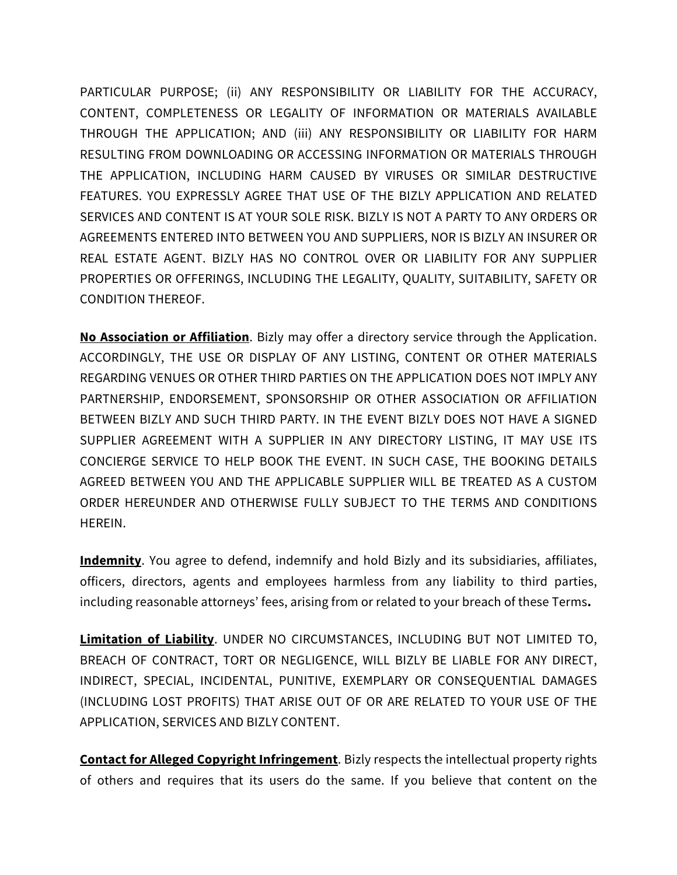PARTICULAR PURPOSE; (ii) ANY RESPONSIBILITY OR LIABILITY FOR THE ACCURACY, CONTENT, COMPLETENESS OR LEGALITY OF INFORMATION OR MATERIALS AVAILABLE THROUGH THE APPLICATION; AND (iii) ANY RESPONSIBILITY OR LIABILITY FOR HARM RESULTING FROM DOWNLOADING OR ACCESSING INFORMATION OR MATERIALS THROUGH THE APPLICATION, INCLUDING HARM CAUSED BY VIRUSES OR SIMILAR DESTRUCTIVE FEATURES. YOU EXPRESSLY AGREE THAT USE OF THE BIZLY APPLICATION AND RELATED SERVICES AND CONTENT IS AT YOUR SOLE RISK. BIZLY IS NOT A PARTY TO ANY ORDERS OR AGREEMENTS ENTERED INTO BETWEEN YOU AND SUPPLIERS, NOR IS BIZLY AN INSURER OR REAL ESTATE AGENT. BIZLY HAS NO CONTROL OVER OR LIABILITY FOR ANY SUPPLIER PROPERTIES OR OFFERINGS, INCLUDING THE LEGALITY, QUALITY, SUITABILITY, SAFETY OR CONDITION THEREOF.

**No Association or Affiliation**. Bizly may offer a directory service through the Application. ACCORDINGLY, THE USE OR DISPLAY OF ANY LISTING, CONTENT OR OTHER MATERIALS REGARDING VENUES OR OTHER THIRD PARTIES ON THE APPLICATION DOES NOT IMPLY ANY PARTNERSHIP, ENDORSEMENT, SPONSORSHIP OR OTHER ASSOCIATION OR AFFILIATION BETWEEN BIZLY AND SUCH THIRD PARTY. IN THE EVENT BIZLY DOES NOT HAVE A SIGNED SUPPLIER AGREEMENT WITH A SUPPLIER IN ANY DIRECTORY LISTING, IT MAY USE ITS CONCIERGE SERVICE TO HELP BOOK THE EVENT. IN SUCH CASE, THE BOOKING DETAILS AGREED BETWEEN YOU AND THE APPLICABLE SUPPLIER WILL BE TREATED AS A CUSTOM ORDER HEREUNDER AND OTHERWISE FULLY SUBJECT TO THE TERMS AND CONDITIONS HEREIN.

**Indemnity**. You agree to defend, indemnify and hold Bizly and its subsidiaries, affiliates, officers, directors, agents and employees harmless from any liability to third parties, including reasonable attorneys' fees, arising from or related to your breach of these Terms**.**

**Limitation of Liability**. UNDER NO CIRCUMSTANCES, INCLUDING BUT NOT LIMITED TO, BREACH OF CONTRACT, TORT OR NEGLIGENCE, WILL BIZLY BE LIABLE FOR ANY DIRECT, INDIRECT, SPECIAL, INCIDENTAL, PUNITIVE, EXEMPLARY OR CONSEQUENTIAL DAMAGES (INCLUDING LOST PROFITS) THAT ARISE OUT OF OR ARE RELATED TO YOUR USE OF THE APPLICATION, SERVICES AND BIZLY CONTENT.

**Contact for Alleged Copyright Infringement**. Bizly respects the intellectual property rights of others and requires that its users do the same. If you believe that content on the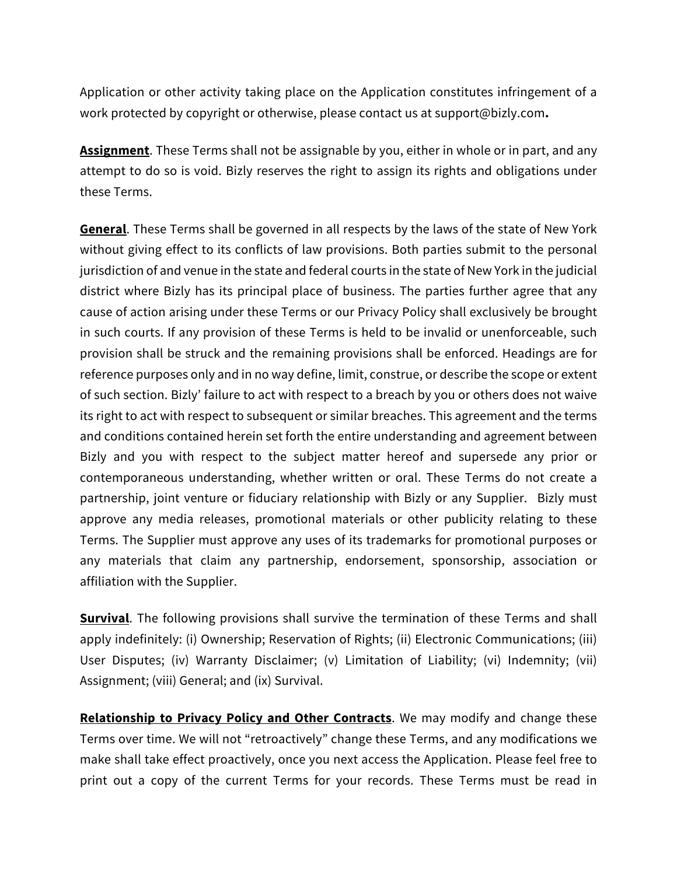Application or other activity taking place on the Application constitutes infringement of a work protected by copyright or otherwise, please contact us at support@bizly.com**.**

**Assignment**. These Terms shall not be assignable by you, either in whole or in part, and any attempt to do so is void. Bizly reserves the right to assign its rights and obligations under these Terms.

**General**. These Terms shall be governed in all respects by the laws of the state of New York without giving effect to its conflicts of law provisions. Both parties submit to the personal jurisdiction of and venue in the state and federal courts in the state of New York in the judicial district where Bizly has its principal place of business. The parties further agree that any cause of action arising under these Terms or our Privacy Policy shall exclusively be brought in such courts. If any provision of these Terms is held to be invalid or unenforceable, such provision shall be struck and the remaining provisions shall be enforced. Headings are for reference purposes only and in no way define, limit, construe, or describe the scope or extent of such section. Bizly' failure to act with respect to a breach by you or others does not waive its right to act with respect to subsequent or similar breaches. This agreement and the terms and conditions contained herein set forth the entire understanding and agreement between Bizly and you with respect to the subject matter hereof and supersede any prior or contemporaneous understanding, whether written or oral. These Terms do not create a partnership, joint venture or fiduciary relationship with Bizly or any Supplier. Bizly must approve any media releases, promotional materials or other publicity relating to these Terms. The Supplier must approve any uses of its trademarks for promotional purposes or any materials that claim any partnership, endorsement, sponsorship, association or affiliation with the Supplier.

**Survival**. The following provisions shall survive the termination of these Terms and shall apply indefinitely: (i) Ownership; Reservation of Rights; (ii) Electronic Communications; (iii) User Disputes; (iv) Warranty Disclaimer; (v) Limitation of Liability; (vi) Indemnity; (vii) Assignment; (viii) General; and (ix) Survival.

**Relationship to Privacy Policy and Other Contracts**. We may modify and change these Terms over time. We will not "retroactively" change these Terms, and any modifications we make shall take effect proactively, once you next access the Application. Please feel free to print out a copy of the current Terms for your records. These Terms must be read in